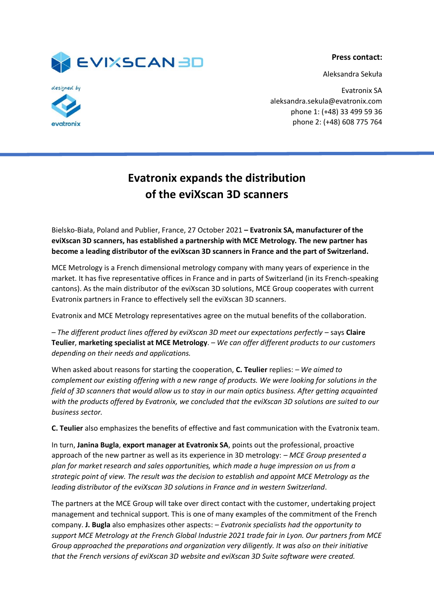

Aleksandra Sekuła





Evatronix SA aleksandra.sekula@evatronix.com phone 1: (+48) 33 499 59 36 phone 2: (+48) 608 775 764

## **Evatronix expands the distribution of the eviXscan 3D scanners**

Bielsko-Biała, Poland and Publier, France, 27 October 2021 **– Evatronix SA, manufacturer of the eviXscan 3D scanners, has established a partnership with MCE Metrology. The new partner has become a leading distributor of the eviXscan 3D scanners in France and the part of Switzerland.** 

MCE Metrology is a French dimensional metrology company with many years of experience in the market. It has five representative offices in France and in parts of Switzerland (in its French-speaking cantons). As the main distributor of the eviXscan 3D solutions, MCE Group cooperates with current Evatronix partners in France to effectively sell the eviXscan 3D scanners.

Evatronix and MCE Metrology representatives agree on the mutual benefits of the collaboration.

*– The different product lines offered by eviXscan 3D meet our expectations perfectly* – says **Claire Teulier**, **marketing specialist at MCE Metrology**. *– We can offer different products to our customers depending on their needs and applications.*

When asked about reasons for starting the cooperation, **C. Teulier** replies: *– We aimed to complement our existing offering with a new range of products. We were looking for solutions in the field of 3D scanners that would allow us to stay in our main optics business. After getting acquainted with the products offered by Evatronix, we concluded that the eviXscan 3D solutions are suited to our business sector.* 

**C. Teulier** also emphasizes the benefits of effective and fast communication with the Evatronix team.

In turn, **Janina Bugla**, **export manager at Evatronix SA**, points out the professional, proactive approach of the new partner as well as its experience in 3D metrology: *– MCE Group presented a plan for market research and sales opportunities, which made a huge impression on us from a strategic point of view. The result was the decision to establish and appoint MCE Metrology as the leading distributor of the eviXscan 3D solutions in France and in western Switzerland*.

The partners at the MCE Group will take over direct contact with the customer, undertaking project management and technical support. This is one of many examples of the commitment of the French company. **J. Bugla** also emphasizes other aspects: *– Evatronix specialists had the opportunity to support MCE Metrology at the French Global Industrie 2021 trade fair in Lyon. Our partners from MCE Group approached the preparations and organization very diligently. It was also on their initiative that the French versions of eviXscan 3D website and eviXscan 3D Suite software were created.*